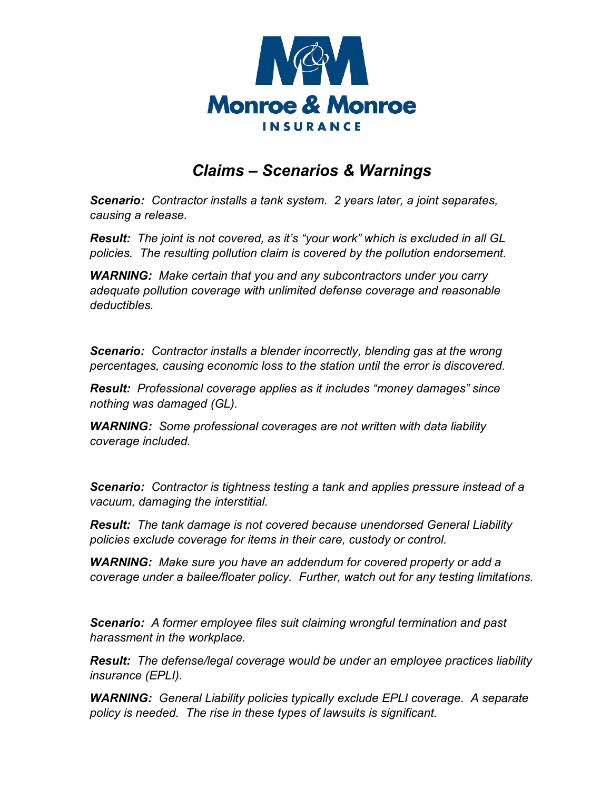

## *Claims – Scenarios & Warnings*

*Scenario: Contractor installs a tank system. 2 years later, a joint separates, causing a release.* 

*Result: The joint is not covered, as it's "your work" which is excluded in all GL policies. The resulting pollution claim is covered by the pollution endorsement.* 

*WARNING: Make certain that you and any subcontractors under you carry adequate pollution coverage with unlimited defense coverage and reasonable deductibles.* 

*Scenario: Contractor installs a blender incorrectly, blending gas at the wrong percentages, causing economic loss to the station until the error is discovered.* 

*Result: Professional coverage applies as it includes "money damages" since nothing was damaged (GL).* 

*WARNING: Some professional coverages are not written with data liability coverage included.* 

*Scenario: Contractor is tightness testing a tank and applies pressure instead of a vacuum, damaging the interstitial.* 

*Result: The tank damage is not covered because unendorsed General Liability policies exclude coverage for items in their care, custody or control.* 

*WARNING: Make sure you have an addendum for covered property or add a coverage under a bailee/floater policy. Further, watch out for any testing limitations.*

*Scenario: A former employee files suit claiming wrongful termination and past harassment in the workplace.* 

*Result: The defense/legal coverage would be under an employee practices liability insurance (EPLI).* 

*WARNING: General Liability policies typically exclude EPLI coverage. A separate policy is needed. The rise in these types of lawsuits is significant.*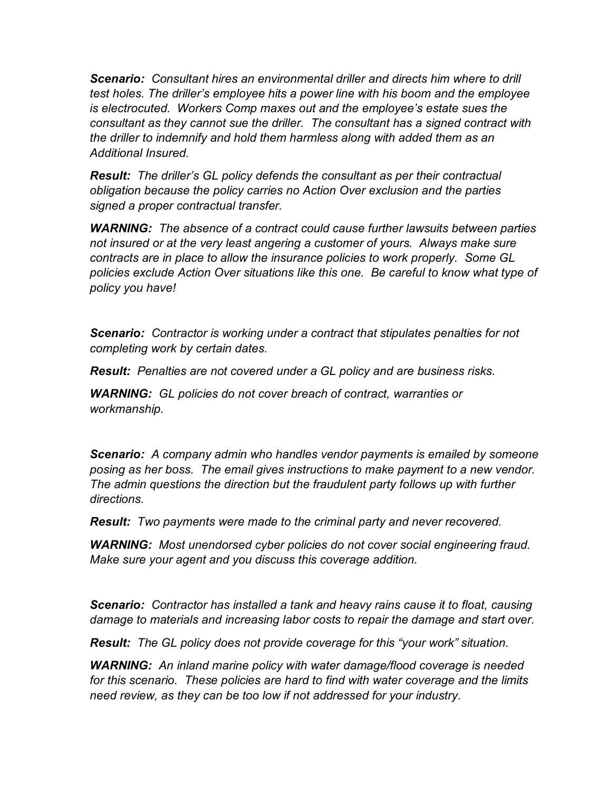*Scenario: Consultant hires an environmental driller and directs him where to drill test holes. The driller's employee hits a power line with his boom and the employee is electrocuted. Workers Comp maxes out and the employee's estate sues the consultant as they cannot sue the driller. The consultant has a signed contract with the driller to indemnify and hold them harmless along with added them as an Additional Insured.* 

*Result: The driller's GL policy defends the consultant as per their contractual obligation because the policy carries no Action Over exclusion and the parties signed a proper contractual transfer.*

*WARNING: The absence of a contract could cause further lawsuits between parties not insured or at the very least angering a customer of yours. Always make sure contracts are in place to allow the insurance policies to work properly. Some GL policies exclude Action Over situations like this one. Be careful to know what type of policy you have!* 

*Scenario: Contractor is working under a contract that stipulates penalties for not completing work by certain dates.* 

*Result: Penalties are not covered under a GL policy and are business risks.* 

*WARNING: GL policies do not cover breach of contract, warranties or workmanship.* 

*Scenario: A company admin who handles vendor payments is emailed by someone posing as her boss. The email gives instructions to make payment to a new vendor. The admin questions the direction but the fraudulent party follows up with further directions.* 

*Result: Two payments were made to the criminal party and never recovered.* 

*WARNING: Most unendorsed cyber policies do not cover social engineering fraud. Make sure your agent and you discuss this coverage addition.* 

*Scenario: Contractor has installed a tank and heavy rains cause it to float, causing damage to materials and increasing labor costs to repair the damage and start over.* 

*Result: The GL policy does not provide coverage for this "your work" situation.* 

*WARNING: An inland marine policy with water damage/flood coverage is needed for this scenario. These policies are hard to find with water coverage and the limits need review, as they can be too low if not addressed for your industry.*